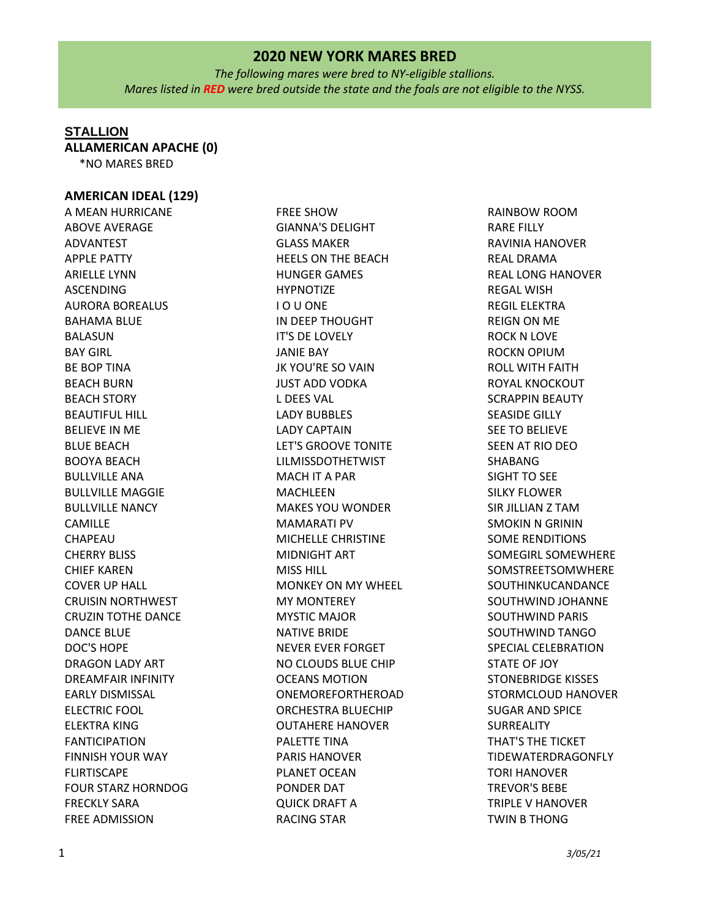*The following mares were bred to NY-eligible stallions. Mares listed in RED were bred outside the state and the foals are not eligible to the NYSS.*

### **STALLION**

**ALLAMERICAN APACHE (0)**

\*NO MARES BRED

### **AMERICAN IDEAL (129)**

A MEAN HURRICANE ABOVE AVERAGE ADVANTEST APPLE PATTY ARIELLE LYNN ASCENDING AURORA BOREALUS BAHAMA BLUE BALASUN BAY GIRL BE BOP TINA BEACH BURN BEACH STORY BEAUTIFUL HILL BELIEVE IN ME BLUE BEACH BOOYA BEACH BULLVILLE ANA BULLVILLE MAGGIE BULLVILLE NANCY CAMILLE CHAPEAU CHERRY BLISS CHIEF KAREN COVER UP HALL CRUISIN NORTHWEST CRUZIN TOTHE DANCE DANCE BLUE DOC'S HOPE DRAGON LADY ART DREAMFAIR INFINITY EARLY DISMISSAL ELECTRIC FOOL ELEKTRA KING FANTICIPATION FINNISH YOUR WAY FLIRTISCAPE FOUR STARZ HORNDOG FRECKLY SARA FREE ADMISSION

FREE SHOW GIANNA'S DELIGHT GLASS MAKER HEELS ON THE BEACH HUNGER GAMES HYPNOTIZE I O U ONE IN DEEP THOUGHT IT'S DE LOVELY JANIE BAY JK YOU'RE SO VAIN JUST ADD VODKA L DEES VAL LADY BUBBLES LADY CAPTAIN LET'S GROOVE TONITE LILMISSDOTHETWIST MACH IT A PAR MACHLEEN MAKES YOU WONDER MAMARATI PV MICHELLE CHRISTINE MIDNIGHT ART MISS HILL MONKEY ON MY WHEEL MY MONTEREY MYSTIC MAJOR NATIVE BRIDE NEVER EVER FORGET NO CLOUDS BLUE CHIP OCEANS MOTION ONEMOREFORTHEROAD ORCHESTRA BLUECHIP OUTAHERE HANOVER PALETTE TINA PARIS HANOVER PLANET OCEAN PONDER DAT QUICK DRAFT A RACING STAR

RAINBOW ROOM RARE FILLY RAVINIA HANOVER REAL DRAMA REAL LONG HANOVER REGAL WISH REGIL ELEKTRA REIGN ON ME ROCK N LOVE ROCKN OPIUM ROLL WITH FAITH ROYAL KNOCKOUT SCRAPPIN BEAUTY SEASIDE GILLY SEE TO BELIEVE SEEN AT RIO DEO SHABANG SIGHT TO SEE SILKY FLOWER SIR JILLIAN Z TAM SMOKIN N GRININ SOME RENDITIONS SOMEGIRL SOMEWHERE SOMSTREETSOMWHERE SOUTHINKUCANDANCE SOUTHWIND JOHANNE SOUTHWIND PARIS SOUTHWIND TANGO SPECIAL CELEBRATION STATE OF JOY STONEBRIDGE KISSES STORMCLOUD HANOVER SUGAR AND SPICE SURREALITY THAT'S THE TICKET TIDEWATERDRAGONFLY TORI HANOVER TREVOR'S BEBE TRIPLE V HANOVER TWIN B THONG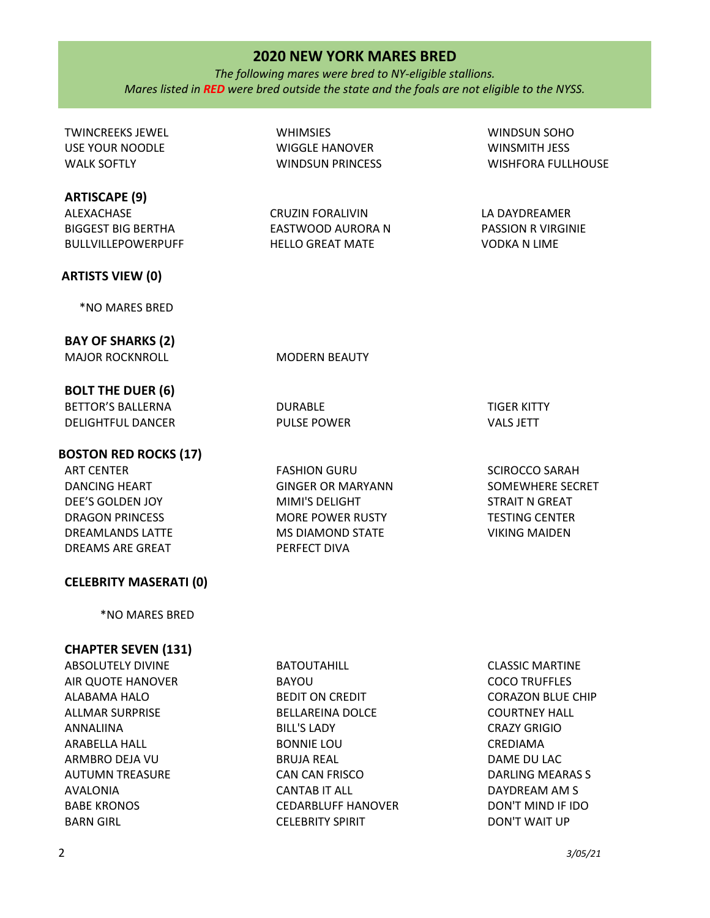### 2 *3/05/21*

# **2020 NEW YORK MARES BRED**

*The following mares were bred to NY-eligible stallions. Mares listed in RED were bred outside the state and the foals are not eligible to the NYSS.*

**WHIMSIES** 

WIGGLE HANOVER WINDSUN PRINCESS

CRUZIN FORALIVIN EASTWOOD AURORA N HELLO GREAT MATE

TWINCREEKS JEWEL USE YOUR NOODLE WALK SOFTLY

### **ARTISCAPE (9)**

ALEXACHASE BIGGEST BIG BERTHA BULLVILLEPOWERPUFF

### **ARTISTS VIEW (0)**

\*NO MARES BRED

**BAY OF SHARKS (2)** MAJOR ROCKNROLL MODERN BEAUTY

DURABLE PULSE POWER

**BOLT THE DUER (6)** BETTOR'S BALLERNA

DELIGHTFUL DANCER

**BOSTON RED ROCKS (17)**

ART CENTER DANCING HEART DEE'S GOLDEN JOY DRAGON PRINCESS DREAMLANDS LATTE DREAMS ARE GREAT

### **CELEBRITY MASERATI (0)**

\*NO MARES BRED

# **CHAPTER SEVEN (131)**

ABSOLUTELY DIVINE AIR QUOTE HANOVER ALABAMA HALO ALLMAR SURPRISE ANNALIINA ARABELLA HALL ARMBRO DEJA VU AUTUMN TREASURE AVALONIA BABE KRONOS BARN GIRL

BATOUTAHILL BAYOU BEDIT ON CREDIT BELLAREINA DOLCE BILL'S LADY BONNIE LOU BRUJA REAL CAN CAN FRISCO CANTAB IT ALL CEDARBLUFF HANOVER CELEBRITY SPIRIT

CLASSIC MARTINE COCO TRUFFLES CORAZON BLUE CHIP COURTNEY HALL CRAZY GRIGIO CREDIAMA DAME DU LAC DARLING MEARAS S DAYDREAM AM S DON'T MIND IF IDO DON'T WAIT UP

FASHION GURU GINGER OR MARYANN MIMI'S DELIGHT MORE POWER RUSTY MS DIAMOND STATE PERFECT DIVA

TIGER KITTY VALS JETT

SCIROCCO SARAH SOMEWHERE SECRET STRAIT N GREAT TESTING CENTER VIKING MAIDEN

WINSMITH JESS WISHFORA FULLHOUSE

WINDSUN SOHO

LA DAYDREAMER PASSION R VIRGINIE VODKA N LIME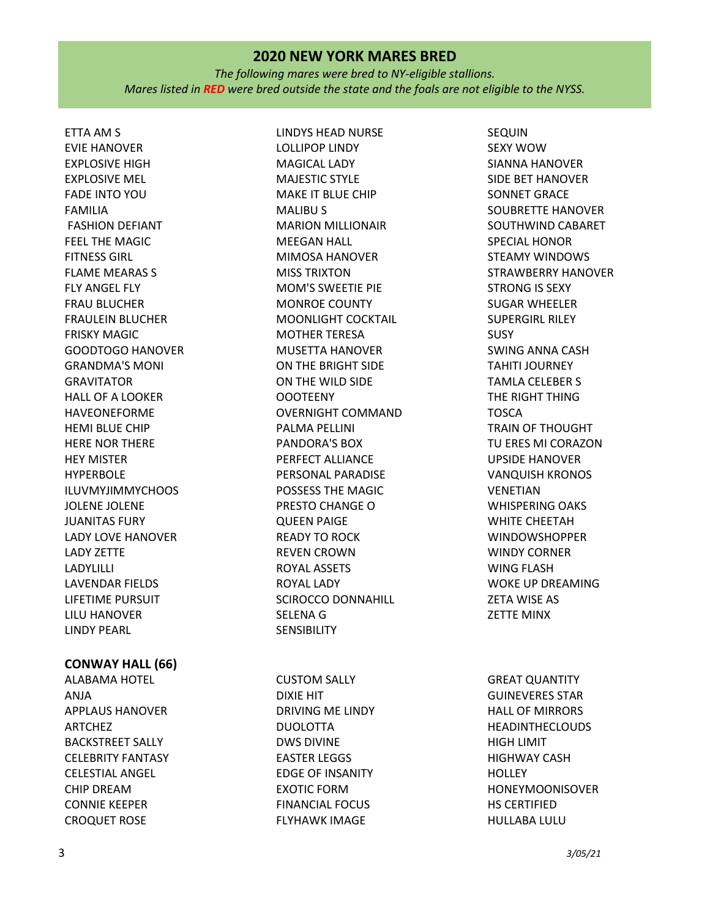*The following mares were bred to NY-eligible stallions. Mares listed in RED were bred outside the state and the foals are not eligible to the NYSS.*

ETTA AM S EVIE HANOVER EXPLOSIVE HIGH EXPLOSIVE MEL FADE INTO YOU FAMILIA FASHION DEFIANT FEEL THE MAGIC FITNESS GIRL FLAME MEARAS S FLY ANGEL FLY FRAU BLUCHER FRAULEIN BLUCHER FRISKY MAGIC GOODTOGO HANOVER GRANDMA'S MONI GRAVITATOR HALL OF A LOOKER HAVEONEFORME HEMI BLUE CHIP HERE NOR THERE HEY MISTER HYPERBOLE ILUVMYJIMMYCHOOS JOLENE JOLENE JUANITAS FURY LADY LOVE HANOVER LADY ZETTE LADYLILLI LAVENDAR FIELDS LIFETIME PURSUIT LILU HANOVER LINDY PEARL

### **CONWAY HALL (66)**

ALABAMA HOTEL ANJA APPLAUS HANOVER ARTCHEZ BACKSTREET SALLY CELEBRITY FANTASY CELESTIAL ANGEL CHIP DREAM CONNIE KEEPER CROQUET ROSE

LINDYS HEAD NURSE LOLLIPOP LINDY MAGICAL LADY MAJESTIC STYLE MAKE IT BLUE CHIP MALIBU S MARION MILLIONAIR MEEGAN HALL MIMOSA HANOVER MISS TRIXTON MOM'S SWEETIE PIE MONROE COUNTY MOONLIGHT COCKTAIL MOTHER TERESA MUSETTA HANOVER ON THE BRIGHT SIDE ON THE WILD SIDE OOOTEENY OVERNIGHT COMMAND PALMA PELLINI PANDORA'S BOX PERFECT ALLIANCE PERSONAL PARADISE POSSESS THE MAGIC PRESTO CHANGE O QUEEN PAIGE READY TO ROCK REVEN CROWN ROYAL ASSETS ROYAL LADY SCIROCCO DONNAHILL SELENA G **SENSIBILITY** 

CUSTOM SALLY DIXIE HIT DRIVING ME LINDY DUOLOTTA DWS DIVINE EASTER LEGGS EDGE OF INSANITY EXOTIC FORM FINANCIAL FOCUS FLYHAWK IMAGE

SEQUIN SEXY WOW SIANNA HANOVER SIDE BET HANOVER SONNET GRACE SOUBRETTE HANOVER SOUTHWIND CABARET SPECIAL HONOR STEAMY WINDOWS STRAWBERRY HANOVER STRONG IS SEXY SUGAR WHEELER SUPERGIRL RILEY **SUSY** SWING ANNA CASH TAHITI JOURNEY TAMLA CELEBER S THE RIGHT THING TOSCA TRAIN OF THOUGHT TU ERES MI CORAZON UPSIDE HANOVER VANQUISH KRONOS VENETIAN WHISPERING OAKS WHITE CHEETAH WINDOWSHOPPER WINDY CORNER WING FLASH WOKE UP DREAMING ZETA WISE AS ZETTE MINX

GREAT QUANTITY GUINEVERES STAR HALL OF MIRRORS HEADINTHECLOUDS HIGH LIMIT HIGHWAY CASH **HOLLEY** HONEYMOONISOVER HS CERTIFIED HULLABA LULU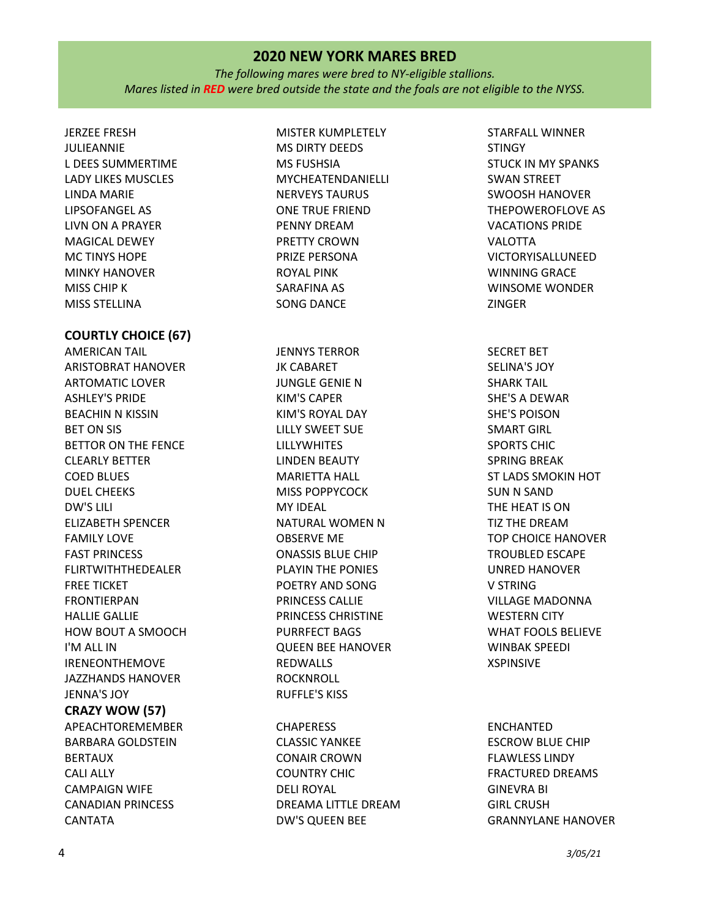*The following mares were bred to NY-eligible stallions. Mares listed in RED were bred outside the state and the foals are not eligible to the NYSS.*

JERZEE FRESH JULIEANNIE L DEES SUMMERTIME LADY LIKES MUSCLES LINDA MARIE LIPSOFANGEL AS LIVN ON A PRAYER MAGICAL DEWEY MC TINYS HOPE MINKY HANOVER MISS CHIP K MISS STELLINA

### **COURTLY CHOICE (67)**

AMERICAN TAIL ARISTOBRAT HANOVER ARTOMATIC LOVER ASHLEY'S PRIDE BEACHIN N KISSIN BET ON SIS BETTOR ON THE FENCE CLEARLY BETTER COED BLUES DUEL CHEEKS DW'S LILI ELIZABETH SPENCER FAMILY LOVE FAST PRINCESS FLIRTWITHTHEDEALER FREE TICKET FRONTIERPAN HALLIE GALLIE HOW BOUT A SMOOCH I'M ALL IN IRENEONTHEMOVE JAZZHANDS HANOVER JENNA'S JOY **CRAZY WOW (57)** APEACHTOREMEMBER BARBARA GOLDSTEIN BERTAUX

CALI ALLY CAMPAIGN WIFE CANADIAN PRINCESS CANTATA

MISTER KUMPLETELY MS DIRTY DEEDS MS FUSHSIA MYCHEATENDANIELLI NERVEYS TAURUS ONE TRUE FRIEND PENNY DREAM PRETTY CROWN PRIZE PERSONA ROYAL PINK SARAFINA AS SONG DANCE

JENNYS TERROR JK CABARET JUNGLE GENIE N KIM'S CAPER KIM'S ROYAL DAY LILLY SWEET SUE LILLYWHITES LINDEN BEAUTY MARIETTA HALL MISS POPPYCOCK MY IDEAL NATURAL WOMEN N OBSERVE ME ONASSIS BLUE CHIP PLAYIN THE PONIES POETRY AND SONG PRINCESS CALLIE PRINCESS CHRISTINE PURRFECT BAGS QUEEN BEE HANOVER REDWALLS ROCKNROLL RUFFLE'S KISS

**CHAPERESS** CLASSIC YANKEE CONAIR CROWN COUNTRY CHIC DELI ROYAL DREAMA LITTLE DREAM DW'S QUEEN BEE

STARFALL WINNER **STINGY** STUCK IN MY SPANKS SWAN STREET SWOOSH HANOVER THEPOWEROFLOVE AS VACATIONS PRIDE VALOTTA VICTORYISALLUNEED WINNING GRACE WINSOME WONDER ZINGER

SECRET BET SELINA'S JOY SHARK TAIL SHE'S A DEWAR SHE'S POISON SMART GIRL SPORTS CHIC SPRING BREAK ST LADS SMOKIN HOT SUN N SAND THE HEAT IS ON TIZ THE DREAM TOP CHOICE HANOVER TROUBLED ESCAPE UNRED HANOVER V STRING VILLAGE MADONNA WESTERN CITY WHAT FOOLS BELIEVE WINBAK SPEEDI XSPINSIVE

### ENCHANTED

ESCROW BLUE CHIP FLAWLESS LINDY FRACTURED DREAMS GINEVRA BI GIRL CRUSH GRANNYLANE HANOVER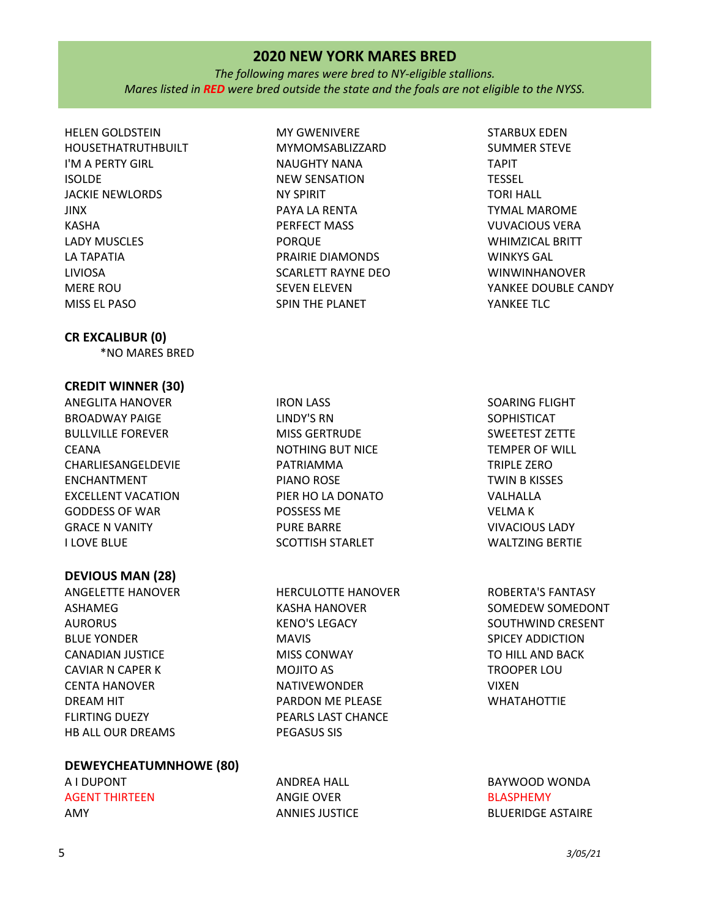*The following mares were bred to NY-eligible stallions. Mares listed in RED were bred outside the state and the foals are not eligible to the NYSS.*

HELEN GOLDSTEIN HOUSETHATRUTHBUILT I'M A PERTY GIRL ISOLDE JACKIE NEWLORDS JINX KASHA LADY MUSCLES LA TAPATIA LIVIOSA MERE ROU MISS EL PASO

### **CR EXCALIBUR (0)**

\*NO MARES BRED

### **CREDIT WINNER (30)**

ANEGLITA HANOVER BROADWAY PAIGE BULLVILLE FOREVER CEANA CHARLIESANGELDEVIE ENCHANTMENT EXCELLENT VACATION GODDESS OF WAR GRACE N VANITY I LOVE BLUE

### **DEVIOUS MAN (28)**

ANGELETTE HANOVER ASHAMEG AURORUS BLUE YONDER CANADIAN JUSTICE CAVIAR N CAPER K CENTA HANOVER DREAM HIT FLIRTING DUEZY HB ALL OUR DREAMS

# **DEWEYCHEATUMNHOWE (80)**

A I DUPONT AGENT THIRTEEN AMY

MY GWENIVERE MYMOMSABLIZZARD NAUGHTY NANA NEW SENSATION NY SPIRIT PAYA LA RENTA PERFECT MASS PORQUE PRAIRIE DIAMONDS SCARLETT RAYNE DEO SEVEN ELEVEN SPIN THE PLANET

IRON LASS LINDY'S RN MISS GERTRUDE NOTHING BUT NICE PATRIAMMA PIANO ROSE PIER HO LA DONATO POSSESS ME PURE BARRE SCOTTISH STARLET

HERCULOTTE HANOVER KASHA HANOVER KENO'S LEGACY MAVIS MISS CONWAY MOJITO AS NATIVEWONDER PARDON ME PLEASE PEARLS LAST CHANCE PEGASUS SIS

ANDREA HALL ANGIE OVER ANNIES JUSTICE

STARBUX EDEN SUMMER STEVE TAPIT TESSEL TORI HALL TYMAL MAROME VUVACIOUS VERA WHIMZICAL BRITT WINKYS GAL WINWINHANOVER YANKEE DOUBLE CANDY YANKEE TLC

SOARING FLIGHT SOPHISTICAT SWEETEST ZETTE TEMPER OF WILL TRIPLE ZERO TWIN B KISSES VALHALLA VELMA K VIVACIOUS LADY WALTZING BERTIE

ROBERTA'S FANTASY SOMEDEW SOMEDONT SOUTHWIND CRESENT SPICEY ADDICTION TO HILL AND BACK TROOPER LOU VIXEN WHATAHOTTIE

BAYWOOD WONDA BLASPHEMY BLUERIDGE ASTAIRE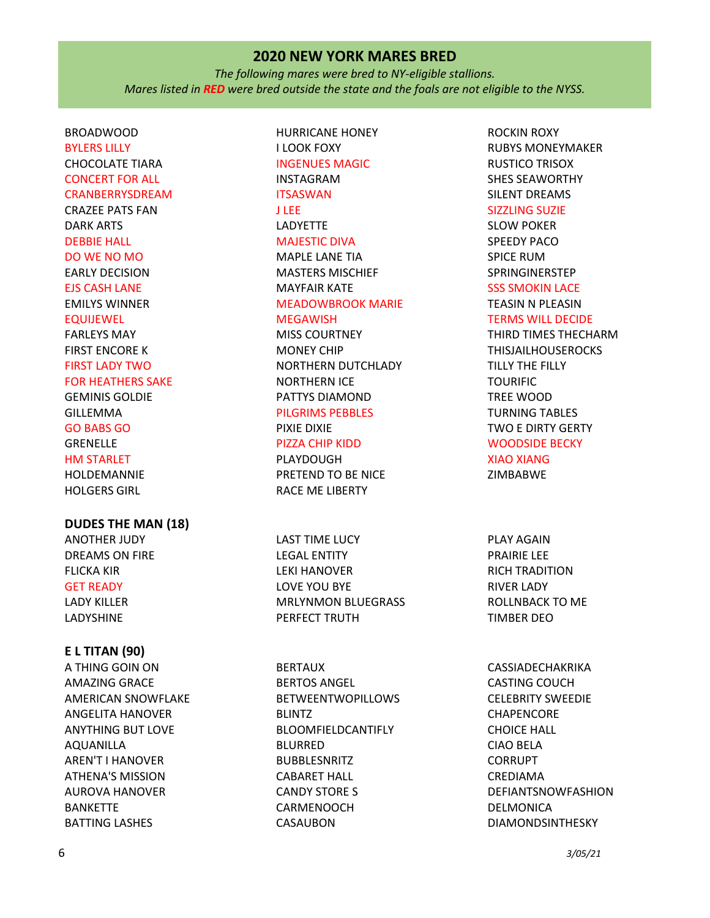*The following mares were bred to NY-eligible stallions. Mares listed in RED were bred outside the state and the foals are not eligible to the NYSS.*

# BROADWOOD BYLERS LILLY CHOCOLATE TIARA CONCERT FOR ALL CRANBERRYSDREAM CRAZEE PATS FAN DARK ARTS DEBBIE HALL DO WE NO MO EARLY DECISION EJS CASH LANE EMILYS WINNER EQUIJEWEL FARLEYS MAY FIRST ENCORE K FIRST LADY TWO FOR HEATHERS SAKE GEMINIS GOLDIE GILLEMMA GO BABS GO GRENELLE HM STARLET HOLDEMANNIE HOLGERS GIRL

### **DUDES THE MAN (18)**

ANOTHER JUDY DREAMS ON FIRE FLICKA KIR GET READY LADY KILLER LADYSHINE

### **E L TITAN (90)**

A THING GOIN ON AMAZING GRACE AMERICAN SNOWFLAKE ANGELITA HANOVER ANYTHING BUT LOVE AQUANILLA AREN'T I HANOVER ATHENA'S MISSION AUROVA HANOVER BANKETTE BATTING LASHES

# HURRICANE HONEY I LOOK FOXY INGENUES MAGIC INSTAGRAM **ITSASWAN** J LEE LADYETTE MAJESTIC DIVA MAPLE LANE TIA MASTERS MISCHIEF MAYFAIR KATE MEADOWBROOK MARIE MEGAWISH MISS COURTNEY

MONEY CHIP NORTHERN DUTCHLADY NORTHERN ICE PATTYS DIAMOND PILGRIMS PEBBLES PIXIE DIXIE PIZZA CHIP KIDD

### PLAYDOUGH PRETEND TO BE NICE RACE ME LIBERTY

LAST TIME LUCY LEGAL ENTITY LEKI HANOVER LOVE YOU BYE MRLYNMON BLUEGRASS PERFECT TRUTH

BERTAUX BERTOS ANGEL BETWEENTWOPILLOWS BLINTZ BLOOMFIELDCANTIFLY BLURRED BUBBLESNRITZ CABARET HALL CANDY STORE S CARMENOOCH CASAUBON

ROCKIN ROXY RUBYS MONEYMAKER RUSTICO TRISOX SHES SEAWORTHY SILENT DREAMS SIZZLING SUZIE

SLOW POKER SPEEDY PACO SPICE RUM SPRINGINERSTEP

# SSS SMOKIN LACE

#### TEASIN N PLEASIN TERMS WILL DECIDE

THIRD TIMES THECHARM THISJAILHOUSEROCKS TILLY THE FILLY TOURIFIC TREE WOOD TURNING TABLES TWO E DIRTY GERTY WOODSIDE BECKY XIAO XIANG

ZIMBABWE

PLAY AGAIN PRAIRIE LEE RICH TRADITION RIVER LADY ROLLNBACK TO ME TIMBER DEO

CASSIADECHAKRIKA CASTING COUCH CELEBRITY SWEEDIE CHAPENCORE CHOICE HALL CIAO BELA CORRUPT CREDIAMA DEFIANTSNOWFASHION DELMONICA DIAMONDSINTHESKY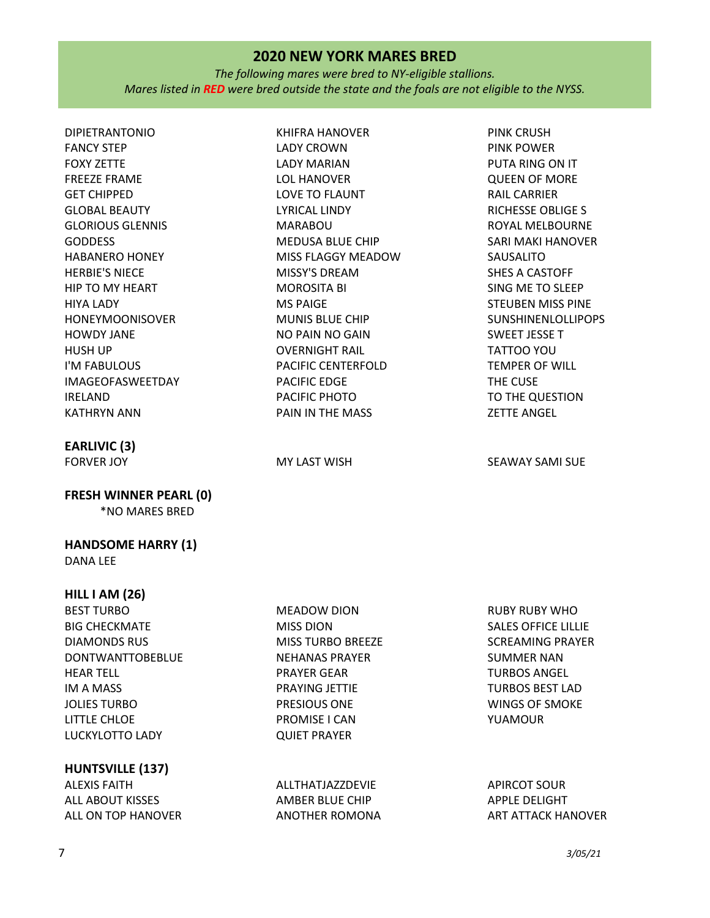*The following mares were bred to NY-eligible stallions. Mares listed in RED were bred outside the state and the foals are not eligible to the NYSS.*

DIPIETRANTONIO FANCY STEP FOXY ZETTE FREEZE FRAME GET CHIPPED GLOBAL BEAUTY GLORIOUS GLENNIS GODDESS HABANERO HONEY HERBIE'S NIECE HIP TO MY HEART HIYA LADY HONEYMOONISOVER HOWDY JANE HUSH UP I'M FABULOUS IMAGEOFASWEETDAY IRELAND KATHRYN ANN

# **EARLIVIC (3)**

**FRESH WINNER PEARL (0)** \*NO MARES BRED

# **HANDSOME HARRY (1)**

DANA LEE

### **HILL I AM (26)**

BEST TURBO BIG CHECKMATE DIAMONDS RUS DONTWANTTOBEBLUE HEAR TELL IM A MASS JOLIES TURBO LITTLE CHLOE LUCKYLOTTO LADY

# **HUNTSVILLE (137)**

ALEXIS FAITH ALL ABOUT KISSES ALL ON TOP HANOVER KHIFRA HANOVER LADY CROWN LADY MARIAN LOL HANOVER LOVE TO FLAUNT LYRICAL LINDY MARABOU MEDUSA BLUE CHIP MISS FLAGGY MEADOW MISSY'S DREAM MOROSITA BI MS PAIGE MUNIS BLUE CHIP NO PAIN NO GAIN OVERNIGHT RAIL PACIFIC CENTERFOLD PACIFIC EDGE PACIFIC PHOTO PAIN IN THE MASS

MEADOW DION MISS DION MISS TURBO BREEZE NEHANAS PRAYER PRAYER GEAR PRAYING JETTIE PRESIOUS ONE PROMISE I CAN QUIET PRAYER

ALLTHATJAZZDEVIE AMBER BLUE CHIP ANOTHER ROMONA

PINK CRUSH PINK POWER PUTA RING ON IT QUEEN OF MORE RAIL CARRIER RICHESSE OBLIGE S ROYAL MELBOURNE SARI MAKI HANOVER SAUSALITO SHES A CASTOFF SING ME TO SLEEP STEUBEN MISS PINE SUNSHINENLOLLIPOPS SWEET JESSE T TATTOO YOU TEMPER OF WILL THE CUSE TO THE QUESTION ZETTE ANGEL

FORVER JOY **EXAMILIAT SEAWAY SAMI SUE** 

RUBY RUBY WHO SALES OFFICE LILLIE SCREAMING PRAYER SUMMER NAN TURBOS ANGEL TURBOS BEST LAD WINGS OF SMOKE YUAMOUR

APIRCOT SOUR APPLE DELIGHT ART ATTACK HANOVER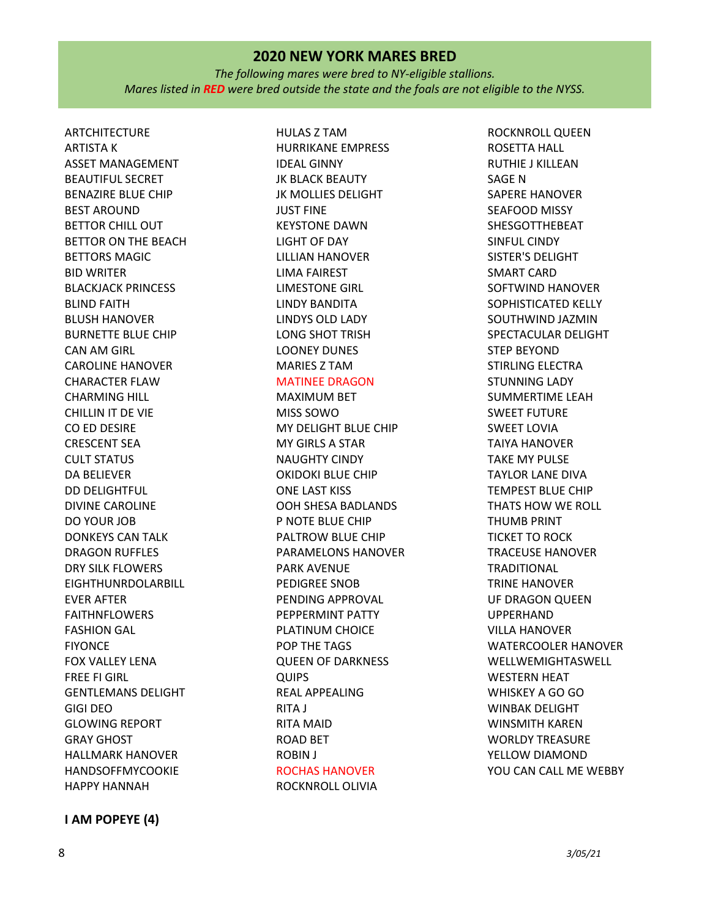*The following mares were bred to NY-eligible stallions. Mares listed in RED were bred outside the state and the foals are not eligible to the NYSS.*

ARTCHITECTURE ARTISTA K ASSET MANAGEMENT BEAUTIFUL SECRET BENAZIRE BLUE CHIP BEST AROUND BETTOR CHILL OUT BETTOR ON THE BEACH BETTORS MAGIC BID WRITER BLACKJACK PRINCESS BLIND FAITH BLUSH HANOVER BURNETTE BLUE CHIP CAN AM GIRL CAROLINE HANOVER CHARACTER FLAW CHARMING HILL CHILLIN IT DE VIE CO ED DESIRE CRESCENT SEA CULT STATUS DA BELIEVER DD DELIGHTFUL DIVINE CAROLINE DO YOUR JOB DONKEYS CAN TALK DRAGON RUFFLES DRY SILK FLOWERS EIGHTHUNRDOLARBILL EVER AFTER FAITHNFLOWERS FASHION GAL FIYONCE FOX VALLEY LENA FREE FI GIRL GENTLEMANS DELIGHT GIGI DEO GLOWING REPORT GRAY GHOST HALLMARK HANOVER HANDSOFFMYCOOKIE HAPPY HANNAH

HURRIKANE EMPRESS IDEAL GINNY JK BLACK BEAUTY JK MOLLIES DELIGHT JUST FINE KEYSTONE DAWN LIGHT OF DAY LILLIAN HANOVER LIMA FAIREST LIMESTONE GIRL LINDY BANDITA LINDYS OLD LADY LONG SHOT TRISH LOONEY DUNES MARIES Z TAM MATINEE DRAGON

HULAS Z TAM

# MAXIMUM BET

MISS SOWO MY DELIGHT BLUE CHIP MY GIRLS A STAR NAUGHTY CINDY OKIDOKI BLUE CHIP ONE LAST KISS OOH SHESA BADLANDS P NOTE BLUE CHIP PALTROW BLUE CHIP PARAMELONS HANOVER PARK AVENUE PEDIGREE SNOB PENDING APPROVAL PEPPERMINT PATTY PLATINUM CHOICE POP THE TAGS QUEEN OF DARKNESS QUIPS REAL APPEALING RITA J RITA MAID ROAD BET ROBIN J ROCHAS HANOVER ROCKNROLL OLIVIA

ROCKNROLL QUEEN ROSETTA HALL RUTHIE J KILLEAN SAGE N SAPERE HANOVER SEAFOOD MISSY SHESGOTTHEBEAT SINFUL CINDY SISTER'S DELIGHT SMART CARD SOFTWIND HANOVER SOPHISTICATED KELLY SOUTHWIND JAZMIN SPECTACULAR DELIGHT STEP BEYOND STIRLING ELECTRA STUNNING LADY SUMMERTIME LEAH SWEET FUTURE SWEET LOVIA TAIYA HANOVER TAKE MY PULSE TAYLOR LANE DIVA TEMPEST BLUE CHIP THATS HOW WE ROLL THUMB PRINT TICKET TO ROCK TRACEUSE HANOVER **TRADITIONAL** TRINE HANOVER UF DRAGON QUEEN UPPERHAND VILLA HANOVER WATERCOOLER HANOVER WELLWEMIGHTASWELL WESTERN HEAT WHISKEY A GO GO WINBAK DELIGHT WINSMITH KAREN WORLDY TREASURE YELLOW DIAMOND YOU CAN CALL ME WEBBY

**I AM POPEYE (4)**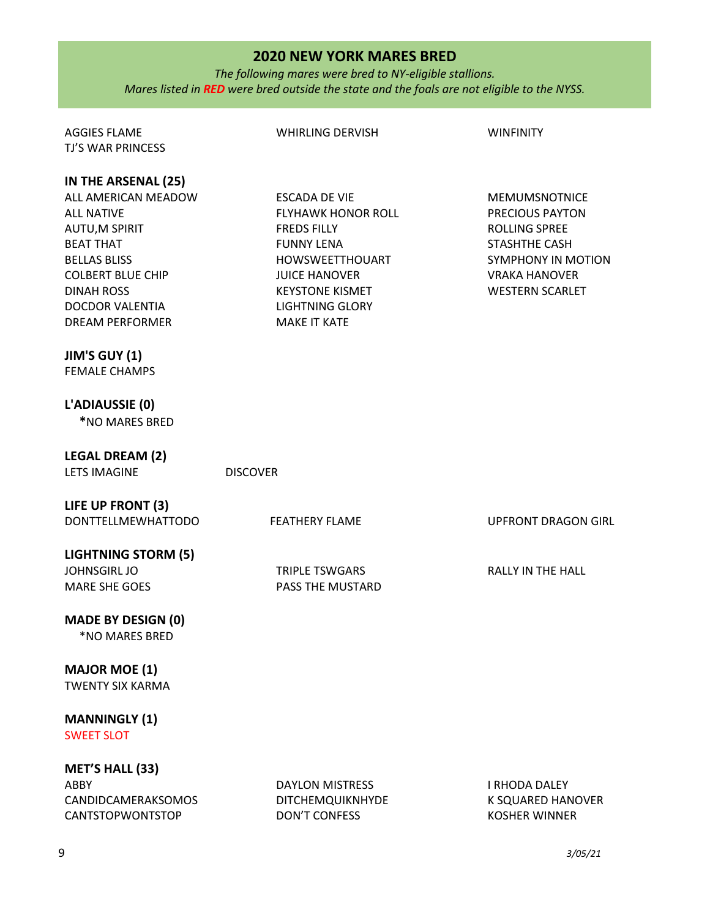*The following mares were bred to NY-eligible stallions. Mares listed in RED were bred outside the state and the foals are not eligible to the NYSS.*

| <b>AGGIES FLAME</b>                                                                                                                                                                                                        | <b>WHIRLING DERVISH</b>                                                                                                                                                                                            | <b>WINFINITY</b>                                                                                                                                                       |
|----------------------------------------------------------------------------------------------------------------------------------------------------------------------------------------------------------------------------|--------------------------------------------------------------------------------------------------------------------------------------------------------------------------------------------------------------------|------------------------------------------------------------------------------------------------------------------------------------------------------------------------|
| <b>TJ'S WAR PRINCESS</b>                                                                                                                                                                                                   |                                                                                                                                                                                                                    |                                                                                                                                                                        |
| IN THE ARSENAL (25)<br>ALL AMERICAN MEADOW<br><b>ALL NATIVE</b><br>AUTU, M SPIRIT<br><b>BEAT THAT</b><br><b>BELLAS BLISS</b><br><b>COLBERT BLUE CHIP</b><br><b>DINAH ROSS</b><br>DOCDOR VALENTIA<br><b>DREAM PERFORMER</b> | <b>ESCADA DE VIE</b><br><b>FLYHAWK HONOR ROLL</b><br><b>FREDS FILLY</b><br><b>FUNNY LENA</b><br>HOWSWEETTHOUART<br><b>JUICE HANOVER</b><br><b>KEYSTONE KISMET</b><br><b>LIGHTNING GLORY</b><br><b>MAKE IT KATE</b> | <b>MEMUMSNOTNICE</b><br>PRECIOUS PAYTON<br><b>ROLLING SPREE</b><br><b>STASHTHE CASH</b><br><b>SYMPHONY IN MOTION</b><br><b>VRAKA HANOVER</b><br><b>WESTERN SCARLET</b> |
|                                                                                                                                                                                                                            |                                                                                                                                                                                                                    |                                                                                                                                                                        |
| JIM'S GUY (1)<br><b>FEMALE CHAMPS</b>                                                                                                                                                                                      |                                                                                                                                                                                                                    |                                                                                                                                                                        |
| L'ADIAUSSIE (0)<br>*NO MARES BRED                                                                                                                                                                                          |                                                                                                                                                                                                                    |                                                                                                                                                                        |
| <b>LEGAL DREAM (2)</b><br><b>LETS IMAGINE</b>                                                                                                                                                                              | <b>DISCOVER</b>                                                                                                                                                                                                    |                                                                                                                                                                        |
| LIFE UP FRONT (3)<br><b>DONTTELLMEWHATTODO</b>                                                                                                                                                                             | <b>FEATHERY FLAME</b>                                                                                                                                                                                              | <b>UPFRONT DRAGON GIRL</b>                                                                                                                                             |
| <b>LIGHTNING STORM (5)</b><br><b>JOHNSGIRL JO</b><br><b>MARE SHE GOES</b>                                                                                                                                                  | <b>TRIPLE TSWGARS</b><br>PASS THE MUSTARD                                                                                                                                                                          | <b>RALLY IN THE HALL</b>                                                                                                                                               |
| <b>MADE BY DESIGN (0)</b><br>*NO MARES BRED                                                                                                                                                                                |                                                                                                                                                                                                                    |                                                                                                                                                                        |
| <b>MAJOR MOE (1)</b><br><b>TWENTY SIX KARMA</b>                                                                                                                                                                            |                                                                                                                                                                                                                    |                                                                                                                                                                        |
| <b>MANNINGLY (1)</b><br><b>SWEET SLOT</b>                                                                                                                                                                                  |                                                                                                                                                                                                                    |                                                                                                                                                                        |
| <b>MET'S HALL (33)</b><br>ABBY<br>CANDIDCAMERAKSOMOS<br>CANTSTOPWONTSTOP                                                                                                                                                   | <b>DAYLON MISTRESS</b><br>DITCHEMQUIKNHYDE<br><b>DON'T CONFESS</b>                                                                                                                                                 | I RHODA DALEY<br>K SQUARED HANOVER<br><b>KOSHER WINNER</b>                                                                                                             |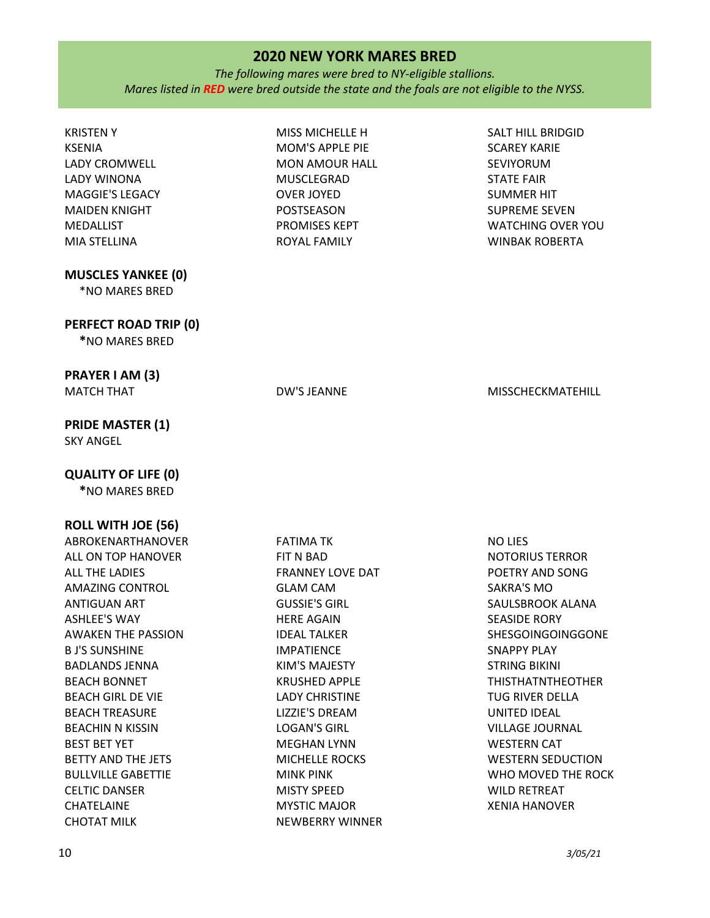*The following mares were bred to NY-eligible stallions. Mares listed in RED were bred outside the state and the foals are not eligible to the NYSS.*

| <b>KRISTENY</b><br><b>KSENIA</b><br>LADY CROMWELL | MISS MICHELLE H<br>MOM'S APPLE PIE<br><b>MON AMOUR HALL</b> | <b>SALT HILL BRIDGID</b><br><b>SCAREY KARIE</b><br><b>SEVIYORUM</b> |
|---------------------------------------------------|-------------------------------------------------------------|---------------------------------------------------------------------|
| LADY WINONA                                       | <b>MUSCLEGRAD</b>                                           | <b>STATE FAIR</b>                                                   |
| <b>MAGGIE'S LEGACY</b>                            | <b>OVER JOYED</b>                                           | <b>SUMMER HIT</b>                                                   |
| <b>MAIDEN KNIGHT</b>                              | POSTSEASON                                                  | <b>SUPREME SEVEN</b>                                                |
| MEDALLIST                                         | PROMISES KEPT                                               | <b>WATCHING OVER YOU</b>                                            |
| MIA STELLINA                                      | ROYAL FAMILY                                                | <b>WINBAK ROBERTA</b>                                               |
| <b>MUSCLES YANKEE (0)</b><br>*NO MARES BRED       |                                                             |                                                                     |
| PERFECT ROAD TRIP (0)<br>*NO MARES BRED           |                                                             |                                                                     |
| PRAYER I AM (3)                                   |                                                             |                                                                     |
| <b>MATCH THAT</b>                                 | DW'S JEANNE                                                 | MISSCHECKMATEHILL                                                   |
| <b>PRIDE MASTER (1)</b><br><b>SKY ANGEL</b>       |                                                             |                                                                     |
| <b>QUALITY OF LIFE (0)</b>                        |                                                             |                                                                     |
| *NO MARES BRED                                    |                                                             |                                                                     |
| <b>ROLL WITH JOE (56)</b>                         |                                                             |                                                                     |
| ABROKENARTHANOVER                                 | <b>FATIMA TK</b>                                            | NO LIES                                                             |
| ALL ON TOP HANOVER                                | FIT N BAD                                                   | <b>NOTORIUS TERROR</b>                                              |
| ALL THE LADIES                                    | <b>FRANNEY LOVE DAT</b>                                     | POETRY AND SONG                                                     |
| <b>AMAZING CONTROL</b>                            | <b>GLAM CAM</b>                                             | SAKRA'S MO                                                          |
| <b>ANTIGUAN ART</b>                               | <b>GUSSIE'S GIRL</b>                                        | SAULSBROOK ALANA                                                    |
| <b>ASHLEE'S WAY</b>                               | <b>HERE AGAIN</b>                                           | <b>SEASIDE RORY</b>                                                 |
| <b>AWAKEN THE PASSION</b>                         | <b>IDEAL TALKER</b>                                         | SHESGOINGOINGGONE                                                   |
| <b>B J'S SUNSHINE</b>                             | <b>IMPATIENCE</b>                                           | SNAPPY PLAY                                                         |
| <b>BADLANDS JENNA</b>                             | KIM'S MAJESTY                                               | <b>STRING BIKINI</b>                                                |
| <b>BEACH BONNET</b>                               | <b>KRUSHED APPLE</b>                                        | <b>THISTHATNTHEOTHER</b>                                            |
| <b>BEACH GIRL DE VIE</b>                          | <b>LADY CHRISTINE</b><br>LIZZIE'S DREAM                     | <b>TUG RIVER DELLA</b>                                              |
| <b>BEACH TREASURE</b><br><b>BEACHIN N KISSIN</b>  | <b>LOGAN'S GIRL</b>                                         | UNITED IDEAL<br><b>VILLAGE JOURNAL</b>                              |
| <b>BEST BET YET</b>                               | <b>MEGHAN LYNN</b>                                          | <b>WESTERN CAT</b>                                                  |
| BETTY AND THE JETS                                | MICHELLE ROCKS                                              | <b>WESTERN SEDUCTION</b>                                            |
| <b>BULLVILLE GABETTIE</b>                         | <b>MINK PINK</b>                                            | WHO MOVED THE ROCK                                                  |
| <b>CELTIC DANSER</b>                              | <b>MISTY SPEED</b>                                          | <b>WILD RETREAT</b>                                                 |
| CHATELAINE                                        | <b>MYSTIC MAJOR</b>                                         | <b>XENIA HANOVER</b>                                                |
| <b>CHOTAT MILK</b>                                | <b>NEWBERRY WINNER</b>                                      |                                                                     |
|                                                   |                                                             |                                                                     |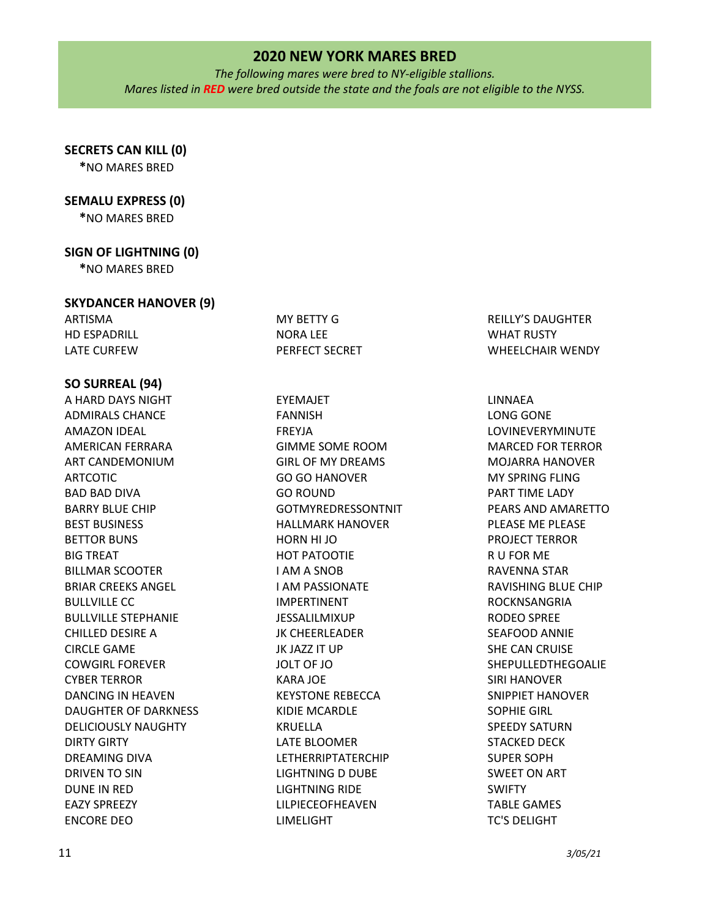*The following mares were bred to NY-eligible stallions. Mares listed in RED were bred outside the state and the foals are not eligible to the NYSS.*

# **SECRETS CAN KILL (0)**

**\***NO MARES BRED

# **SEMALU EXPRESS (0)**

**\***NO MARES BRED

# **SIGN OF LIGHTNING (0)**

**\***NO MARES BRED

### **SKYDANCER HANOVER (9)**

ARTISMA HD ESPADRILL LATE CURFEW

# **SO SURREAL (94)**

A HARD DAYS NIGHT ADMIRALS CHANCE AMAZON IDEAL AMERICAN FERRARA ART CANDEMONIUM ARTCOTIC BAD BAD DIVA BARRY BLUE CHIP BEST BUSINESS BETTOR BUNS BIG TREAT BILLMAR SCOOTER BRIAR CREEKS ANGEL BULLVILLE CC BULLVILLE STEPHANIE CHILLED DESIRE A CIRCLE GAME COWGIRL FOREVER CYBER TERROR DANCING IN HEAVEN DAUGHTER OF DARKNESS DELICIOUSLY NAUGHTY DIRTY GIRTY DREAMING DIVA DRIVEN TO SIN DUNE IN RED EAZY SPREEZY ENCORE DEO

EYEMAJET FANNISH FREYJA GIMME SOME ROOM GIRL OF MY DREAMS GO GO HANOVER GO ROUND GOTMYREDRESSONTNIT HALLMARK HANOVER HORN HI JO HOT PATOOTIE I AM A SNOB I AM PASSIONATE IMPERTINENT JESSALILMIXUP JK CHEERLEADER JK JAZZ IT UP JOLT OF JO KARA JOE KEYSTONE REBECCA KIDIE MCARDLE KRUELLA LATE BLOOMER LETHERRIPTATERCHIP LIGHTNING D DUBE LIGHTNING RIDE LILPIECEOFHEAVEN LIMELIGHT

MY BETTY G NORA LEE

PERFECT SECRET

REILLY'S DAUGHTER WHAT RUSTY WHEELCHAIR WENDY

LINNAEA LONG GONE LOVINEVERYMINUTE MARCED FOR TERROR MOJARRA HANOVER MY SPRING FLING PART TIME LADY PEARS AND AMARETTO PLEASE ME PLEASE PROJECT TERROR R U FOR ME RAVENNA STAR RAVISHING BLUE CHIP ROCKNSANGRIA RODEO SPREE SEAFOOD ANNIE SHE CAN CRUISE SHEPULLEDTHEGOALIE SIRI HANOVER SNIPPIET HANOVER SOPHIE GIRL SPEEDY SATURN STACKED DECK SUPER SOPH SWEET ON ART SWIFTY TABLE GAMES TC'S DELIGHT